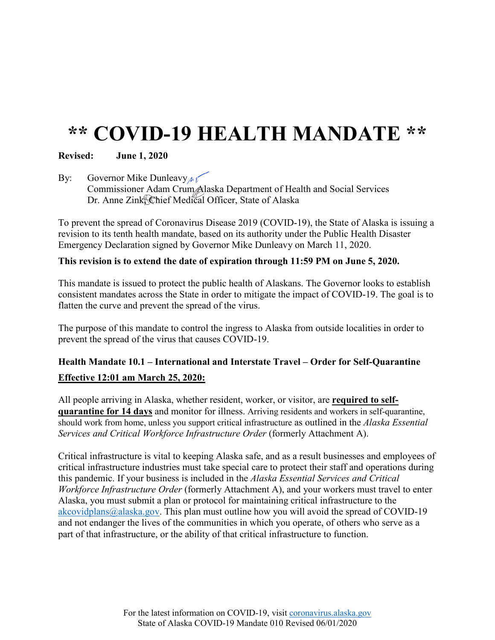## **\*\* COVID-19 HEALTH MANDATE \*\***

## **Revised: June 1, 2020**

By: Governor Mike Dunleavy  $\sqrt{N}$ Commissioner Adam Crum Alaska Department of Health and Social Services Dr. Anne Zink Chief Medical Officer, State of Alaska

To prevent the spread of Coronavirus Disease 2019 (COVID-19), the State of Alaska is issuing a revision to its tenth health mandate, based on its authority under the Public Health Disaster Emergency Declaration signed by Governor Mike Dunleavy on March 11, 2020.

## **This revision is to extend the date of expiration through 11:59 PM on June 5, 2020.**

This mandate is issued to protect the public health of Alaskans. The Governor looks to establish consistent mandates across the State in order to mitigate the impact of COVID-19. The goal is to flatten the curve and prevent the spread of the virus.

The purpose of this mandate to control the ingress to Alaska from outside localities in order to prevent the spread of the virus that causes COVID-19.

## **Health Mandate 10.1 – International and Interstate Travel – Order for Self-Quarantine Effective 12:01 am March 25, 2020:**

All people arriving in Alaska, whether resident, worker, or visitor, are **required to selfquarantine for 14 days** and monitor for illness. Arriving residents and workers in self-quarantine, should work from home, unless you support critical infrastructure as outlined in the *Alaska Essential Services and Critical Workforce Infrastructure Order* (formerly Attachment A).

Critical infrastructure is vital to keeping Alaska safe, and as a result businesses and employees of critical infrastructure industries must take special care to protect their staff and operations during this pandemic. If your business is included in the *Alaska Essential Services and Critical Workforce Infrastructure Order* (formerly Attachment A), and your workers must travel to enter Alaska, you must submit a plan or protocol for maintaining critical infrastructure to the [akcovidplans@alaska.gov.](mailto:akcovidplans@alaksa.gov) This plan must outline how you will avoid the spread of COVID-19 and not endanger the lives of the communities in which you operate, of others who serve as a part of that infrastructure, or the ability of that critical infrastructure to function.